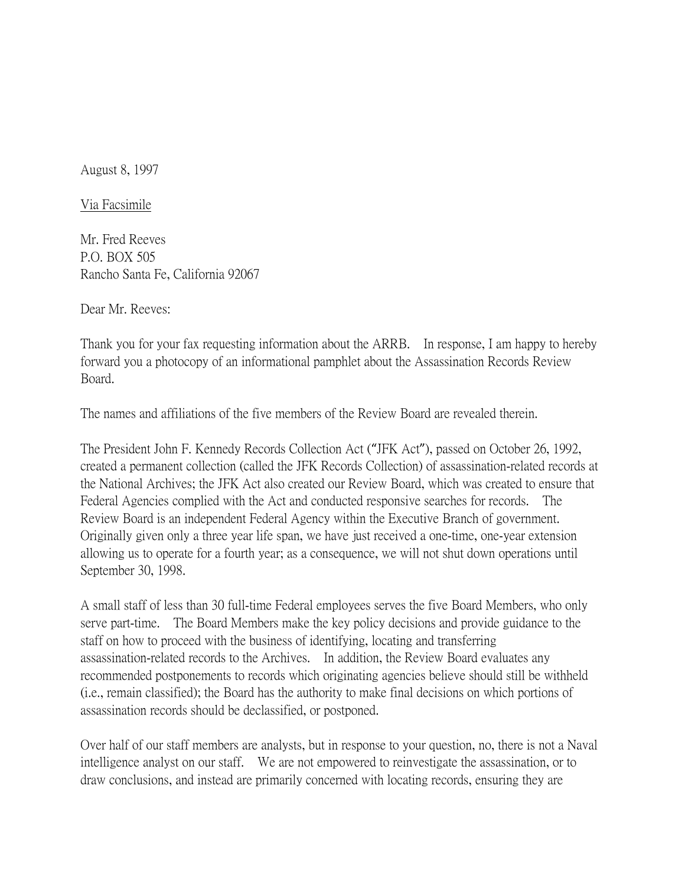August 8, 1997

Via Facsimile

Mr. Fred Reeves P.O. BOX 505 Rancho Santa Fe, California 92067

Dear Mr. Reeves:

Thank you for your fax requesting information about the ARRB. In response, I am happy to hereby forward you a photocopy of an informational pamphlet about the Assassination Records Review Board.

The names and affiliations of the five members of the Review Board are revealed therein.

The President John F. Kennedy Records Collection Act ("JFK Act"), passed on October 26, 1992, created a permanent collection (called the JFK Records Collection) of assassination-related records at the National Archives; the JFK Act also created our Review Board, which was created to ensure that Federal Agencies complied with the Act and conducted responsive searches for records. The Review Board is an independent Federal Agency within the Executive Branch of government. Originally given only a three year life span, we have just received a one-time, one-year extension allowing us to operate for a fourth year; as a consequence, we will not shut down operations until September 30, 1998.

A small staff of less than 30 full-time Federal employees serves the five Board Members, who only serve part-time. The Board Members make the key policy decisions and provide guidance to the staff on how to proceed with the business of identifying, locating and transferring assassination-related records to the Archives. In addition, the Review Board evaluates any recommended postponements to records which originating agencies believe should still be withheld (i.e., remain classified); the Board has the authority to make final decisions on which portions of assassination records should be declassified, or postponed.

Over half of our staff members are analysts, but in response to your question, no, there is not a Naval intelligence analyst on our staff. We are not empowered to reinvestigate the assassination, or to draw conclusions, and instead are primarily concerned with locating records, ensuring they are